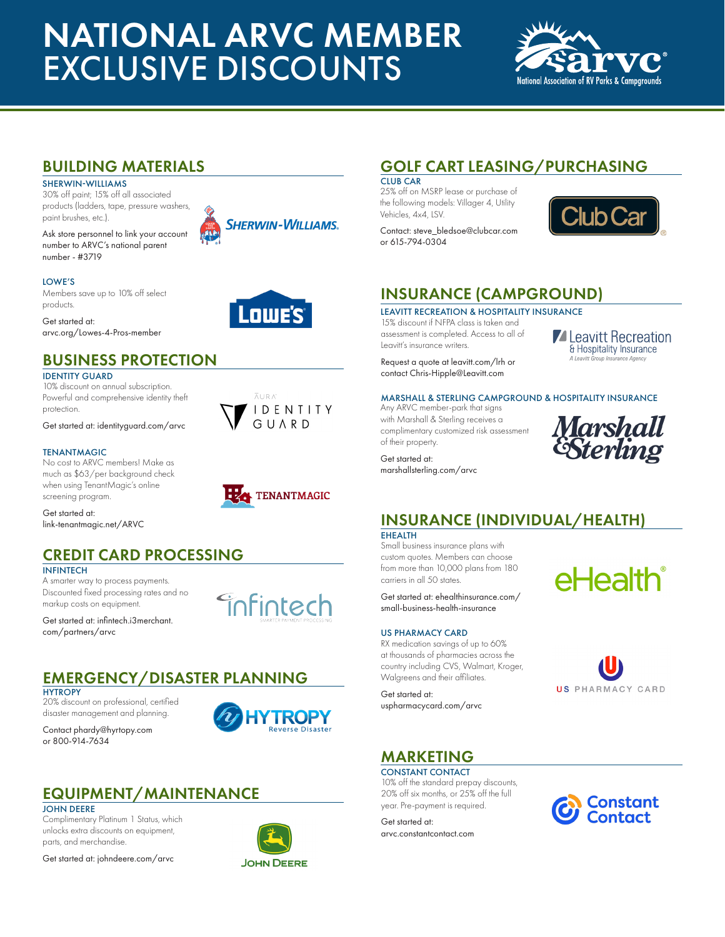# NATIONAL ARVC MEMBER EXCLUSIVE DISCOUNTS



### BUILDING MATERIALS

SHERWIN-WILLIAMS

30% off paint; 15% off all associated products (ladders, tape, pressure washers, paint brushes, etc.).

Ask store personnel to link your account number to ARVC's national parent number - #3719



Lowe's'

 $\overline{\Lambda}$  LED AT



Members save up to 10% off select products.

Get started at: arvc.org/Lowes-4-Pros-member

### BUSINESS PROTECTION

#### IDENTITY GUARD

10% discount on annual subscription. Powerful and comprehensive identity theft protection.

Get started at: identityguard.com/arvc

#### TENANTMAGIC

No cost to ARVC members! Make as much as \$63/per background check when using TenantMagic's online screening program.

Get started at: link-tenantmagic.net/ARVC

## CREDIT CARD PROCESSING

#### INFINTECH

A smarter way to process payments. Discounted fixed processing rates and no markup costs on equipment.

Get started at: infintech.i3merchant. com/partners/arvc

### EMERGENCY/DISASTER PLANNING

#### **HYTROPY**

20% discount on professional, certified disaster management and planning.

Contact phardy@hyrtopy.com or 800-914-7634



**Finfintech** 

### EQUIPMENT/MAINTENANCE

#### JOHN DEERE

Complimentary Platinum 1 Status, which unlocks extra discounts on equipment, parts, and merchandise.

Get started at: johndeere.com/arvc



## GOLF CART LEASING/PURCHASING

CLUB CAR 25% off on MSRP lease or purchase of the following models: Villager 4, Utility Vehicles, 4x4, LSV.

Contact: steve\_bledsoe@clubcar.com or 615-794-0304



### INSURANCE (CAMPGROUND)

LEAVITT RECREATION & HOSPITALITY INSURANCE 15% discount if NFPA class is taken and assessment is completed. Access to all of Leavitt's insurance writers.

Request a quote at leavitt.com/lrh or contact Chris-Hipple@Leavitt.com

#### MARSHALL & STERLING CAMPGROUND & HOSPITALITY INSURANCE

Any ARVC member-park that signs with Marshall & Sterling receives a complimentary customized risk assessment of their property.

marshallsterling.com/arvc



**Z** Leavitt Recreation & Hospitality Insurance

### INSURANCE (INDIVIDUAL/HEALTH)

**EHEALTH** 

Small business insurance plans with custom quotes. Members can choose from more than 10,000 plans from 180 carriers in all 50 states.

Get started at: ehealthinsurance.com/ small-business-health-insurance

#### US PHARMACY CARD

RX medication savings of up to 60% at thousands of pharmacies across the country including CVS, Walmart, Kroger, Walgreens and their affiliates.

Get started at: uspharmacycard.com/arvc





### MARKETING

CONSTANT CONTACT 10% off the standard prepay discounts, 20% off six months, or 25% off the full year. Pre-payment is required.

Get started at: arvc.constantcontact.com









**HZA** TENANTMAGIC